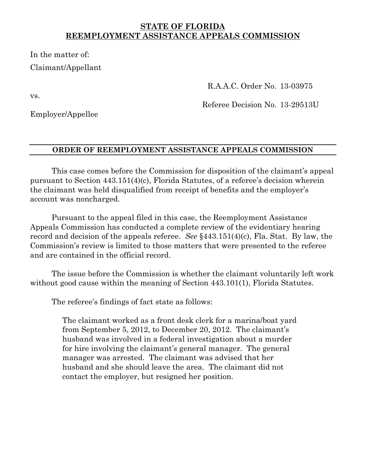## **STATE OF FLORIDA REEMPLOYMENT ASSISTANCE APPEALS COMMISSION**

In the matter of: Claimant/Appellant

vs.

R.A.A.C. Order No. 13-03975

Employer/Appellee

Referee Decision No. 13-29513U

### **ORDER OF REEMPLOYMENT ASSISTANCE APPEALS COMMISSION**

 This case comes before the Commission for disposition of the claimant's appeal pursuant to Section 443.151(4)(c), Florida Statutes, of a referee's decision wherein the claimant was held disqualified from receipt of benefits and the employer's account was noncharged.

 Pursuant to the appeal filed in this case, the Reemployment Assistance Appeals Commission has conducted a complete review of the evidentiary hearing record and decision of the appeals referee. *See* §443.151(4)(c), Fla. Stat. By law, the Commission's review is limited to those matters that were presented to the referee and are contained in the official record.

 The issue before the Commission is whether the claimant voluntarily left work without good cause within the meaning of Section 443.101(1), Florida Statutes.

The referee's findings of fact state as follows:

The claimant worked as a front desk clerk for a marina/boat yard from September 5, 2012, to December 20, 2012. The claimant's husband was involved in a federal investigation about a murder for hire involving the claimant's general manager. The general manager was arrested. The claimant was advised that her husband and she should leave the area. The claimant did not contact the employer, but resigned her position.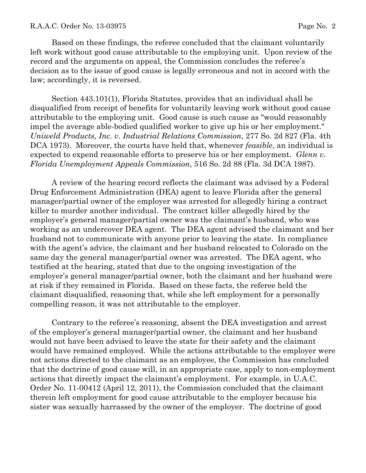Based on these findings, the referee concluded that the claimant voluntarily left work without good cause attributable to the employing unit. Upon review of the record and the arguments on appeal, the Commission concludes the referee's decision as to the issue of good cause is legally erroneous and not in accord with the law; accordingly, it is reversed.

Section 443.101(1), Florida Statutes, provides that an individual shall be disqualified from receipt of benefits for voluntarily leaving work without good cause attributable to the employing unit. Good cause is such cause as "would reasonably impel the average able-bodied qualified worker to give up his or her employment." *Uniweld Products, Inc. v. Industrial Relations Commission*, 277 So. 2d 827 (Fla. 4th DCA 1973). Moreover, the courts have held that, whenever *feasible*, an individual is expected to expend reasonable efforts to preserve his or her employment. *Glenn v. Florida Unemployment Appeals Commission*, 516 So. 2d 88 (Fla. 3d DCA 1987).

 A review of the hearing record reflects the claimant was advised by a Federal Drug Enforcement Administration (DEA) agent to leave Florida after the general manager/partial owner of the employer was arrested for allegedly hiring a contract killer to murder another individual. The contract killer allegedly hired by the employer's general manager/partial owner was the claimant's husband, who was working as an undercover DEA agent. The DEA agent advised the claimant and her husband not to communicate with anyone prior to leaving the state. In compliance with the agent's advice, the claimant and her husband relocated to Colorado on the same day the general manager/partial owner was arrested. The DEA agent, who testified at the hearing, stated that due to the ongoing investigation of the employer's general manager/partial owner, both the claimant and her husband were at risk if they remained in Florida. Based on these facts, the referee held the claimant disqualified, reasoning that, while she left employment for a personally compelling reason, it was not attributable to the employer.

Contrary to the referee's reasoning, absent the DEA investigation and arrest of the employer's general manager/partial owner, the claimant and her husband would not have been advised to leave the state for their safety and the claimant would have remained employed. While the actions attributable to the employer were not actions directed to the claimant as an employee, the Commission has concluded that the doctrine of good cause will, in an appropriate case, apply to non-employment actions that directly impact the claimant's employment. For example, in U.A.C. Order No. 11-00412 (April 12, 2011), the Commission concluded that the claimant therein left employment for good cause attributable to the employer because his sister was sexually harrassed by the owner of the employer. The doctrine of good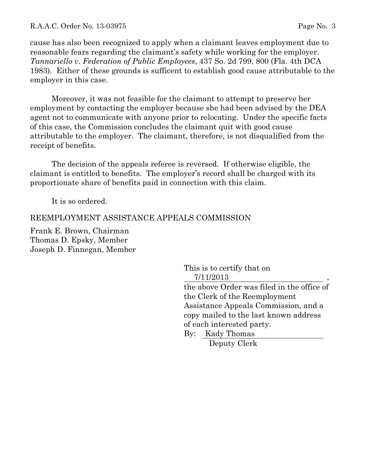cause has also been recognized to apply when a claimant leaves employment due to reasonable fears regarding the claimant's safety while working for the employer. *Tannariello v. Federation of Public Employees*, 437 So. 2d 799, 800 (Fla. 4th DCA 1983). Either of these grounds is sufficent to establish good cause attributable to the employer in this case.

Moreover, it was not feasible for the claimant to attempt to preserve her employment by contacting the employer because she had been advised by the DEA agent not to communicate with anyone prior to relocating. Under the specific facts of this case, the Commission concludes the claimant quit with good cause attributable to the employer. The claimant, therefore, is not disqualified from the receipt of benefits.

 The decision of the appeals referee is reversed. If otherwise eligible, the claimant is entitled to benefits. The employer's record shall be charged with its proportionate share of benefits paid in connection with this claim.

It is so ordered.

# REEMPLOYMENT ASSISTANCE APPEALS COMMISSION

Frank E. Brown, Chairman Thomas D. Epsky, Member Joseph D. Finnegan, Member

> This is to certify that on 7/11/2013 ,

the above Order was filed in the office of the Clerk of the Reemployment Assistance Appeals Commission, and a copy mailed to the last known address of each interested party.

By: Kady Thomas Deputy Clerk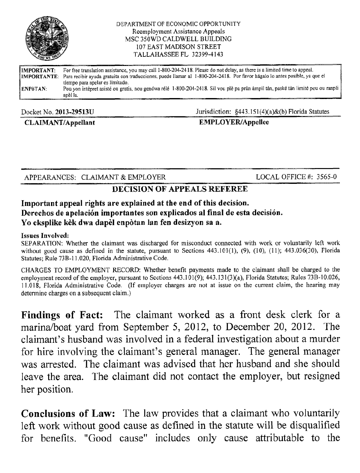

#### DEPARTMENT OF ECONOMIC OPPORTUNITY Reemployment Assistance Appeals MSC 350WD CALDWELL BUILDING **107 EAST MADISON STREET** TALLAHASSEE FL 32399-4143

| IIMPORTANT: | For free translation assistance, you may call 1-800-204-2418. Please do not delay, as there is a limited time to appeal.               |
|-------------|----------------------------------------------------------------------------------------------------------------------------------------|
|             | IMPORTANTE: Para recibir ayuda gratuita con traducciones, puede llamar al 1-800-204-2418. Por favor hágalo lo antes posible, ya que el |
|             | tiempo para apelar es limitado.                                                                                                        |
| ∦ENPòTAN:   | Pou yon intèpret asisté ou gratis, nou gendwa rélé 1-800-204-2418. Sil vou plè pa pràn àmpil tàn, paské tàn limité pou ou ranpli       |
|             | apèl la.                                                                                                                               |

#### Docket No. 2013-29513U

**CLAIMANT/Appellant** 

#### Jurisdiction: §443.151(4)(a)&(b) Florida Statutes

## **EMPLOYER/Appellee**

APPEARANCES: CLAIMANT & EMPLOYER

LOCAL OFFICE #: 3565-0

# **DECISION OF APPEALS REFEREE**

# Important appeal rights are explained at the end of this decision. Derechos de apelación importantes son explicados al final de esta decisión. Yo eksplike kèk dwa dapèl enpòtan lan fen desizyon sa a.

### **Issues Involved:**

SEPARATION: Whether the claimant was discharged for misconduct connected with work or voluntarily left work without good cause as defined in the statute, pursuant to Sections  $443.101(1)$ ,  $(9)$ ,  $(10)$ ,  $(11)$ ;  $443.036(30)$ , Florida Statutes: Rule 73B-11.020, Florida Administrative Code.

CHARGES TO EMPLOYMENT RECORD: Whether benefit payments made to the claimant shall be charged to the employment record of the employer, pursuant to Sections 443.101(9); 443.131(3)(a), Florida Statutes; Rules 73B-10.026, 11.018. Florida Administrative Code. (If employer charges are not at issue on the current claim, the hearing may determine charges on a subsequent claim.)

Findings of Fact: The claimant worked as a front desk clerk for a marina/boat yard from September 5, 2012, to December 20, 2012. The claimant's husband was involved in a federal investigation about a murder for hire involving the claimant's general manager. The general manager was arrested. The claimant was advised that her husband and she should leave the area. The claimant did not contact the employer, but resigned her position.

**Conclusions of Law:** The law provides that a claimant who voluntarily left work without good cause as defined in the statute will be disqualified for benefits. "Good cause" includes only cause attributable to the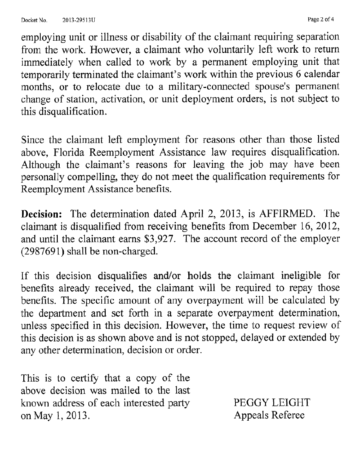employing unit or illness or disability of the claimant requiring separation from the work. However, a claimant who voluntarily left work to return immediately when called to work by a permanent employing unit that temporarily terminated the claimant's work within the previous 6 calendar months, or to relocate due to a military-connected spouse's permanent change of station, activation, or unit deployment orders, is not subject to this disqualification.

Since the claimant left employment for reasons other than those listed above, Florida Reemployment Assistance law requires disqualification. Although the claimant's reasons for leaving the job may have been personally compelling, they do not meet the qualification requirements for Reemployment Assistance benefits.

Decision: The determination dated April 2, 2013, is AFFIRMED. The claimant is disqualified from receiving benefits from December 16, 2012, and until the claimant earns \$3,927. The account record of the employer (2987691) shall be non-charged.

If this decision disqualifies and/or holds the claimant ineligible for benefits already received, the claimant will be required to repay those benefits. The specific amount of any overpayment will be calculated by the department and set forth in a separate overpayment determination, unless specified in this decision. However, the time to request review of this decision is as shown above and is not stopped, delayed or extended by any other determination, decision or order.

This is to certify that a copy of the above decision was mailed to the last known address of each interested party on May 1, 2013.

PEGGY LEIGHT Appeals Referee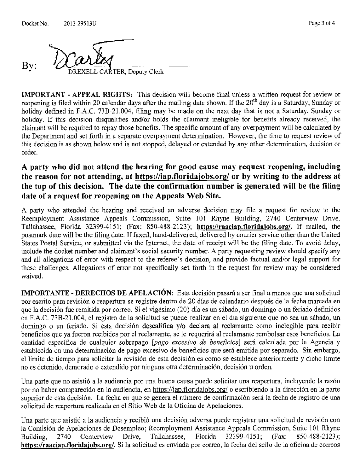**ARTER, Deputy Clerk** 

**IMPORTANT - APPEAL RIGHTS:** This decision will become final unless a written request for review or reopening is filed within 20 calendar days after the mailing date shown. If the 20<sup>th</sup> day is a Saturday, Sunday or holiday defined in F.A.C. 73B-21.004, filing may be made on the next day that is not a Saturday. Sunday or holiday. If this decision disqualifies and/or holds the claimant ineligible for benefits already received, the claimant will be required to repay those benefits. The specific amount of any overpayment will be calculated by the Department and set forth in a separate overpayment determination. However, the time to request review of this decision is as shown below and is not stopped, delayed or extended by any other determination, decision or order.

# A party who did not attend the hearing for good cause may request reopening, including the reason for not attending, at https://iap.floridajobs.org/ or by writing to the address at the top of this decision. The date the confirmation number is generated will be the filing date of a request for reopening on the Appeals Web Site.

A party who attended the hearing and received an adverse decision may file a request for review to the Reemployment Assistance Appeals Commission, Suite 101 Rhyne Building, 2740 Centerview Drive, Tallahassee, Florida 32399-4151; (Fax: 850-488-2123); https://raaciap.floridajobs.org/, If mailed, the postmark date will be the filing date. If faxed, hand-delivered, delivered by courier service other than the United States Postal Service, or submitted via the Internet, the date of receipt will be the filing date. To avoid delay, include the docket number and claimant's social security number. A party requesting review should specify any and all allegations of error with respect to the referee's decision, and provide factual and/or legal support for these challenges. Allegations of error not specifically set forth in the request for review may be considered waived.

**IMPORTANTE - DERECHOS DE APELACIÓN:** Esta decisión pasará a ser final a menos que una solicitud por escrito para revisión o reapertura se registre dentro de 20 días de calendario después de la fecha marcada en que la decisión fue remitida por correo. Si el vigésimo (20) día es un sábado, un domingo o un feriado definidos en F.A.C. 73B-21.004, el registro de la solicitud se puede realizar en el día siguiente que no sea un sábado, un domingo o un feriado. Si esta decisión descalifica y/o declara al reclamante como inelegible para recibir beneficios que va fueron recibidos por el reclamante, se le requerirá al reclamante rembolsar esos beneficios. La cantidad específica de cualquier sobrepago (pago excesivo de beneficios) será calculada por la Agencia y establecida en una determinación de pago excesivo de beneficios que será emitida por separado. Sin embargo, el límite de tiempo para solicitar la revisión de esta decisión es como se establece anteriormente y dicho límite no es detenido, demorado o extendido por ninguna otra determinación, decisión u orden.

Una parte que no asistió a la audiencia por una buena causa puede solicitar una reapertura, incluyendo la razón por no haber comparecido en la audiencia, en https://iap.floridajobs.org/ o escribiendo a la dirección en la parte superior de esta decisión. La fecha en que se genera el número de confirmación será la fecha de registro de una solicitud de reapertura realizada en el Sitio Web de la Oficina de Apelaciones.

Una parte que asistió a la audiencia y recibió una decisión adversa puede registrar una solicitud de revisión con la Comisión de Apelaciones de Desempleo; Reemployment Assistance Appeals Commission, Suite 101 Rhyne Tallahassee, 32399-4151: 2740 Centerview Drive, Florida (Fax: 850-488-2123); Building. https://raaciap.floridajobs.org/. Si la solicitud es enviada por correo, la fecha del sello de la oficina de correos